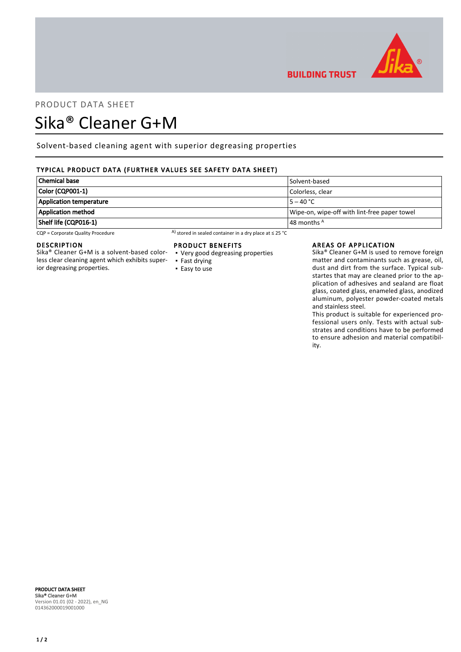

# PRODUCT DATA SHEET

## Sika® Cleaner G+M

Solvent-based cleaning agent with superior degreasing properties

## TYPICAL PRODUCT DATA (FURTHER VALUES SEE SAFETY DATA SHEET)

| Chemical base           | Solvent-based                                |
|-------------------------|----------------------------------------------|
| Color (CQP001-1)        | Colorless, clear                             |
| Application temperature | $15 - 40 °C$                                 |
| Application method      | Wipe-on, wipe-off with lint-free paper towel |
| Shelf life (CQP016-1)   | $\vert$ 48 months $^{\mathsf{A}}$            |

CQP = Corporate Quality Procedure A) stored in sealed container in a dry place at ≤ 25 °C

## DESCRIPTION

Sika® Cleaner G+M is a solvent-based colorless clear cleaning agent which exhibits superior degreasing properties.

### PRODUCT BENEFITS

- Very good degreasing properties ▪ Fast drying
- Easy to use

#### AREAS OF APPLICATION

**BUILDING TRUST** 

Sika® Cleaner G+M is used to remove foreign matter and contaminants such as grease, oil, dust and dirt from the surface. Typical substartes that may are cleaned prior to the application of adhesives and sealand are float glass, coated glass, enameled glass, anodized aluminum, polyester powder-coated metals and stainless steel.

This product is suitable for experienced professional users only. Tests with actual substrates and conditions have to be performed to ensure adhesion and material compatibility.

#### PRODUCT DATA SHEET Sika® Cleaner G+M Version 01.01 (02 - 2022), en\_NG 014362000019001000